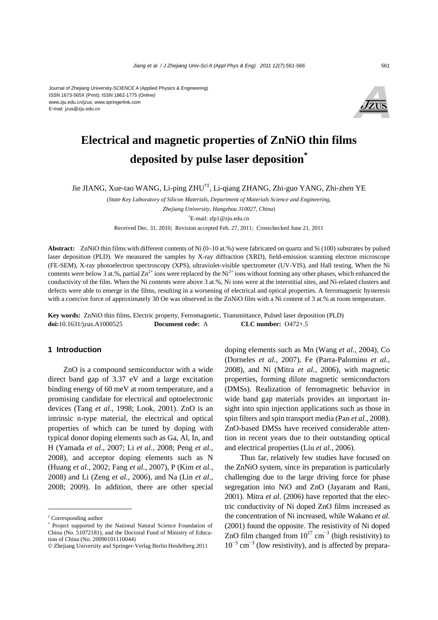

# **Electrical and magnetic properties of ZnNiO thin films deposited by pulse laser deposition\***

Jie JIANG, Xue-tao WANG, Li-ping ZHU†‡, Li-qiang ZHANG, Zhi-guo YANG, Zhi-zhen YE

(*State Key Laboratory of Silicon Materials, Department of Materials Science and Engineering, Zhejiang University, Hangzhou 310027, China*)

† E-mail: zlp1@zju.edu.cn

Received Dec. 31, 2010; Revision accepted Feb. 27, 2011; Crosschecked June 21, 2011

**Abstract:** ZnNiO thin films with different contents of Ni (0–10 at.%) were fabricated on quartz and Si (100) substrates by pulsed laser deposition (PLD). We measured the samples by X-ray diffraction (XRD), field-emission scanning electron microscope (FE-SEM), X-ray photoelectron spectroscopy (XPS), ultraviolet-visible spectrometer (UV-VIS), and Hall testing. When the Ni contents were below 3 at.%, partial  $\text{Zn}^{2+}$  ions were replaced by the Ni<sup>2+</sup> ions without forming any other phases, which enhanced the conductivity of the film. When the Ni contents were above 3 at.%, Ni ions were at the interstitial sites, and Ni-related clusters and defects were able to emerge in the films, resulting in a worsening of electrical and optical properties. A ferromagnetic hysteresis with a coercive force of approximately 30 Oe was observed in the ZnNiO film with a Ni content of 3 at.% at room temperature.

**Key words:** ZnNiO thin films, Electric property, Ferromagnetic, Transmittance, Pulsed laser deposition (PLD) **doi:**10.1631/jzus.A1000525 **Document code:** A **CLC number:** O472+.5

## **1 Introduction**

ZnO is a compound semiconductor with a wide direct band gap of 3.37 eV and a large excitation binding energy of 60 meV at room temperature, and a promising candidate for electrical and optoelectronic devices (Tang *et al.*, 1998; Look, 2001). ZnO is an intrinsic n-type material, the electrical and optical properties of which can be tuned by doping with typical donor doping elements such as Ga, Al, In, and H (Yamada *et al.*, 2007; Li *et al.*, 2008; Peng *et al.*, 2008), and acceptor doping elements such as N (Huang *et al.*, 2002; Fang *et al.*, 2007), P (Kim *et al.*, 2008) and Li (Zeng *et al.*, 2006), and Na (Lin *et al.*, 2008; 2009). In addition, there are other special

doping elements such as Mn (Wang *et al.*, 2004), Co (Dorneles *et al.*, 2007), Fe (Parra-Palomino *et al.*, 2008), and Ni (Mitra *et al.*, 2006), with magnetic properties, forming dilute magnetic semiconductors (DMSs). Realization of ferromagnetic behavior in wide band gap materials provides an important insight into spin injection applications such as those in spin filters and spin transport media (Pan *et al.*, 2008). ZnO-based DMSs have received considerable attention in recent years due to their outstanding optical and electrical properties (Liu *et al.*, 2006).

Thus far, relatively few studies have focused on the ZnNiO system, since its preparation is particularly challenging due to the large driving force for phase segregation into NiO and ZnO (Jayaram and Rani, 2001). Mitra *et al*. (2006) have reported that the electric conductivity of Ni doped ZnO films increased as the concentration of Ni increased, while Wakano *et al*. (2001) found the opposite. The resistivity of Ni doped ZnO film changed from  $10^{17}$  cm<sup>-3</sup> (high resistivity) to  $10^{-3}$  cm<sup>-3</sup> (low resistivity), and is affected by prepara-

<sup>‡</sup> Corresponding author

<sup>\*</sup> Project supported by the National Natural Science Foundation of China (No. 51072181), and the Doctoral Fund of Ministry of Education of China (No. 20090101110044)

<sup>©</sup> Zhejiang University and Springer-Verlag Berlin Heidelberg 2011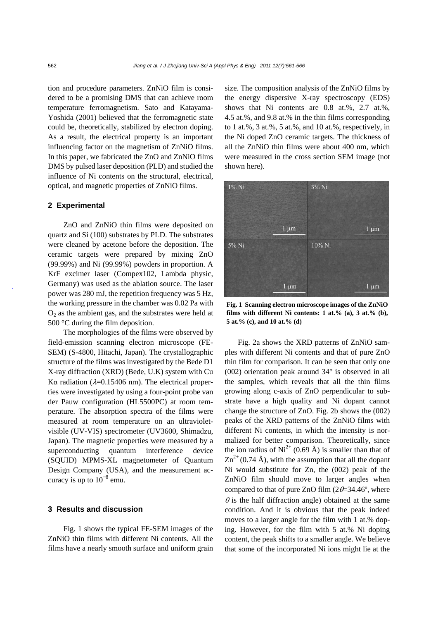tion and procedure parameters. ZnNiO film is considered to be a promising DMS that can achieve room temperature ferromagnetism. Sato and Katayama-Yoshida (2001) believed that the ferromagnetic state could be, theoretically, stabilized by electron doping. As a result, the electrical property is an important influencing factor on the magnetism of ZnNiO films. In this paper, we fabricated the ZnO and ZnNiO films DMS by pulsed laser deposition (PLD) and studied the influence of Ni contents on the structural, electrical, optical, and magnetic properties of ZnNiO films.

### **2 Experimental**

ZnO and ZnNiO thin films were deposited on quartz and Si (100) substrates by PLD. The substrates were cleaned by acetone before the deposition. The ceramic targets were prepared by mixing ZnO (99.99%) and Ni (99.99%) powders in proportion. A KrF excimer laser (Compex102, Lambda physic, Germany) was used as the ablation source. The laser power was 280 mJ, the repetition frequency was 5 Hz, the working pressure in the chamber was 0.02 Pa with  $O<sub>2</sub>$  as the ambient gas, and the substrates were held at 500 °C during the film deposition.

The morphologies of the films were observed by field-emission scanning electron microscope (FE-SEM) (S-4800, Hitachi, Japan). The crystallographic structure of the films was investigated by the Bede D1 X-ray diffraction (XRD) (Bede, U.K) system with Cu Kα radiation ( $\lambda$ =0.15406 nm). The electrical properties were investigated by using a four-point probe van der Pauw configuration (HL5500PC) at room temperature. The absorption spectra of the films were measured at room temperature on an ultravioletvisible (UV-VIS) spectrometer (UV3600, Shimadzu, Japan). The magnetic properties were measured by a superconducting quantum interference device (SQUID) MPMS-XL magnetometer of Quantum Design Company (USA), and the measurement accuracy is up to  $10^{-8}$  emu.

### **3 Results and discussion**

Fig. 1 shows the typical FE-SEM images of the ZnNiO thin films with different Ni contents. All the films have a nearly smooth surface and uniform grain

size. The composition analysis of the ZnNiO films by the energy dispersive X-ray spectroscopy (EDS) shows that Ni contents are 0.8 at.%, 2.7 at.%, 4.5 at.%, and 9.8 at.% in the thin films corresponding to 1 at.%, 3 at.%, 5 at.%, and 10 at.%, respectively, in the Ni doped ZnO ceramic targets. The thickness of all the ZnNiO thin films were about 400 nm, which were measured in the cross section SEM image (not shown here).



**Fig. 1 Scanning electron microscope images of the ZnNiO films with different Ni contents: 1 at.% (a), 3 at.% (b), 5 at.% (c), and 10 at.% (d)** 

Fig. 2a shows the XRD patterns of ZnNiO samples with different Ni contents and that of pure ZnO thin film for comparison. It can be seen that only one (002) orientation peak around  $34^{\circ}$  is observed in all the samples, which reveals that all the thin films growing along c-axis of ZnO perpendicular to substrate have a high quality and Ni dopant cannot change the structure of ZnO. Fig. 2b shows the (002) peaks of the XRD patterns of the ZnNiO films with different Ni contents, in which the intensity is normalized for better comparison. Theoretically, since the ion radius of  $Ni^{2+}$  (0.69 Å) is smaller than that of  $\text{Zn}^{2+}$  (0.74 Å), with the assumption that all the dopant Ni would substitute for Zn, the (002) peak of the ZnNiO film should move to larger angles when compared to that of pure ZnO film  $(2\theta=34.46^{\circ})$ , where  $\theta$  is the half diffraction angle) obtained at the same condition. And it is obvious that the peak indeed moves to a larger angle for the film with 1 at.% doping. However, for the film with 5 at.% Ni doping content, the peak shifts to a smaller angle. We believe that some of the incorporated Ni ions might lie at the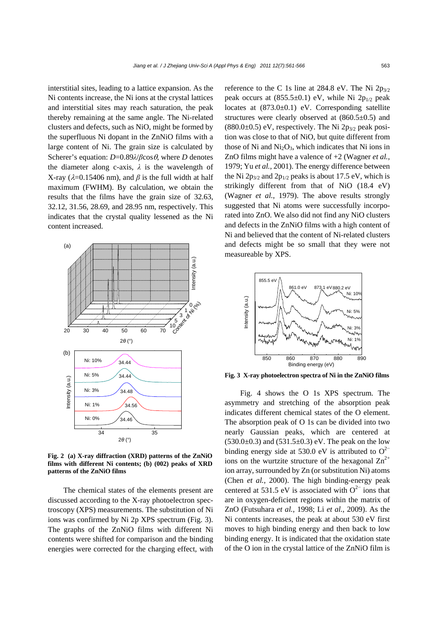interstitial sites, leading to a lattice expansion. As the Ni contents increase, the Ni ions at the crystal lattices and interstitial sites may reach saturation, the peak thereby remaining at the same angle. The Ni-related clusters and defects, such as NiO, might be formed by the superfluous Ni dopant in the ZnNiO films with a large content of Ni. The grain size is calculated by Scherer's equation:  $D=0.89\lambda/\beta\cos\theta$ , where *D* denotes the diameter along c-axis,  $\lambda$  is the wavelength of X-ray ( $\lambda$ =0.15406 nm), and  $\beta$  is the full width at half maximum (FWHM). By calculation, we obtain the results that the films have the grain size of 32.63, 32.12, 31.56, 28.69, and 28.95 nm, respectively. This indicates that the crystal quality lessened as the Ni content increased.



**Fig. 2 (a) X-ray diffraction (XRD) patterns of the ZnNiO films with different Ni contents; (b) (002) peaks of XRD patterns of the ZnNiO films** 

The chemical states of the elements present are discussed according to the X-ray photoelectron spectroscopy (XPS) measurements. The substitution of Ni ions was confirmed by Ni 2p XPS spectrum (Fig. 3). The graphs of the ZnNiO films with different Ni contents were shifted for comparison and the binding energies were corrected for the charging effect, with reference to the C 1s line at 284.8 eV. The Ni  $2p_{3/2}$ peak occurs at  $(855.5\pm0.1)$  eV, while Ni 2p<sub>1/2</sub> peak locates at  $(873.0 \pm 0.1)$  eV. Corresponding satellite structures were clearly observed at  $(860.5\pm0.5)$  and  $(880.0\pm0.5)$  eV, respectively. The Ni 2p<sub>3/2</sub> peak position was close to that of NiO, but quite different from those of Ni and  $Ni<sub>2</sub>O<sub>3</sub>$ , which indicates that Ni ions in ZnO films might have a valence of +2 (Wagner *et al.*, 1979; Yu *et al.*, 2001). The energy difference between the Ni  $2p_{3/2}$  and  $2p_{1/2}$  peaks is about 17.5 eV, which is strikingly different from that of NiO (18.4 eV) (Wagner *et al.*, 1979). The above results strongly suggested that Ni atoms were successfully incorporated into ZnO. We also did not find any NiO clusters and defects in the ZnNiO films with a high content of Ni and believed that the content of Ni-related clusters and defects might be so small that they were not measureable by XPS.



**Fig. 3 X-ray photoelectron spectra of Ni in the ZnNiO films**

Fig. 4 shows the O 1s XPS spectrum. The asymmetry and stretching of the absorption peak indicates different chemical states of the O element. The absorption peak of O 1s can be divided into two nearly Gaussian peaks, which are centered at  $(530.0\pm0.3)$  and  $(531.5\pm0.3)$  eV. The peak on the low binding energy side at 530.0 eV is attributed to  $O^{2-}$ ions on the wurtzite structure of the hexagonal  $\text{Zn}^{2+}$ ion array, surrounded by Zn (or substitution Ni) atoms (Chen *et al.*, 2000). The high binding-energy peak centered at 531.5 eV is associated with  $O<sup>2−</sup>$  ions that are in oxygen-deficient regions within the matrix of ZnO (Futsuhara *et al.*, 1998; Li *et al.*, 2009). As the Ni contents increases, the peak at about 530 eV first moves to high binding energy and then back to low binding energy. It is indicated that the oxidation state of the O ion in the crystal lattice of the ZnNiO film is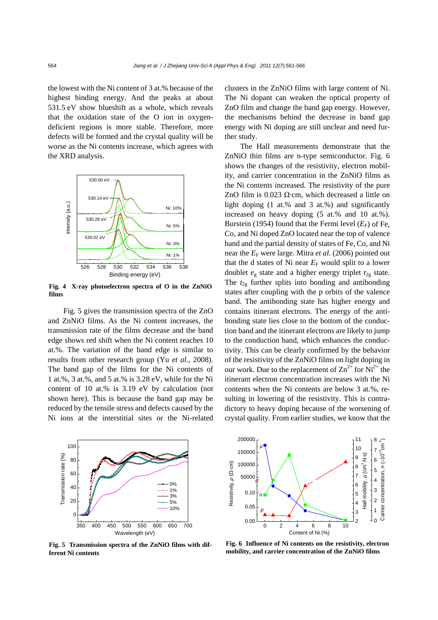the lowest with the Ni content of 3 at.% because of the highest binding energy. And the peaks at about 531.5 eV show blueshift as a whole, which reveals that the oxidation state of the O ion in oxygendeficient regions is more stable. Therefore, more defects will be formed and the crystal quality will be worse as the Ni contents increase, which agrees with the XRD analysis.



**Fig. 4 X-ray photoelectron spectra of O in the ZnNiO films** 

Fig. 5 gives the transmission spectra of the ZnO and ZnNiO films. As the Ni content increases, the transmission rate of the films decrease and the band edge shows red shift when the Ni content reaches 10 at.%. The variation of the band edge is similar to results from other research group (Yu *et al.*, 2008). The band gap of the films for the Ni contents of 1 at.%, 3 at.%, and 5 at.% is 3.28 eV, while for the Ni content of 10 at.% is 3.19 eV by calculation (not shown here). This is because the band gap may be reduced by the tensile stress and defects caused by the Ni ions at the interstitial sites or the Ni-related clusters in the ZnNiO films with large content of Ni. The Ni dopant can weaken the optical property of ZnO film and change the band gap energy. However, the mechanisms behind the decrease in band gap energy with Ni doping are still unclear and need further study.

The Hall measurements demonstrate that the ZnNiO thin films are n-type semiconductor. Fig. 6 shows the changes of the resistivity, electron mobility, and carrier concentration in the ZnNiO films as the Ni contents increased. The resistivity of the pure ZnO film is 0.023 Ω·cm, which decreased a little on light doping (1 at.% and 3 at.%) and significantly increased on heavy doping (5 at.% and 10 at.%). Burstein (1954) found that the Fermi level  $(E_F)$  of Fe, Co, and Ni doped ZnO located near the top of valence band and the partial density of states of Fe, Co, and Ni near the  $E_F$  were large. Mitra *et al.* (2006) pointed out that the d states of Ni near  $E_F$  would split to a lower doublet  $e_g$  state and a higher energy triplet  $t_{2g}$  state. The  $t_{2g}$  further splits into bonding and antibonding states after coupling with the p orbits of the valence band. The antibonding state has higher energy and contains itinerant electrons. The energy of the antibonding state lies close to the bottom of the conduction band and the itinerant electrons are likely to jump to the conduction band, which enhances the conductivity. This can be clearly confirmed by the behavior of the resistivity of the ZnNiO films on light doping in our work. Due to the replacement of  $\text{Zn}^{2+}$  for  $\text{Ni}^{2+}$  the itinerant electron concentration increases with the Ni contents when the Ni contents are below 3 at.%, resulting in lowering of the resistivity. This is contradictory to heavy doping because of the worsening of crystal quality. From earlier studies, we know that the



**Fig. 5 Transmission spectra of the ZnNiO films with different Ni contents**



**Fig. 6 Influence of Ni contents on the resistivity, electron mobility, and carrier concentration of the ZnNiO films**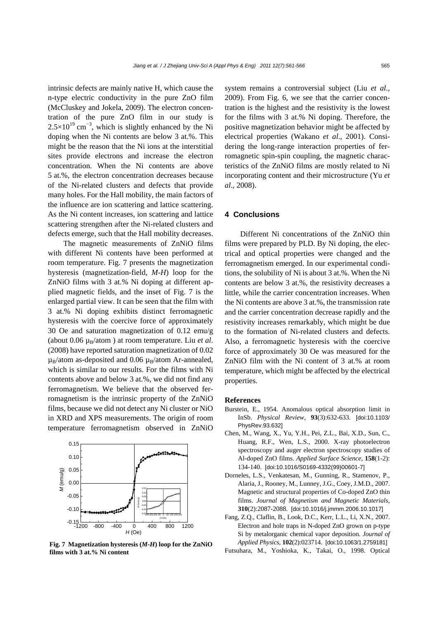intrinsic defects are mainly native H, which cause the n-type electric conductivity in the pure ZnO film (McCluskey and Jokela, 2009). The electron concentration of the pure ZnO film in our study is  $2.5 \times 10^{19}$  cm<sup>-3</sup>, which is slightly enhanced by the Ni doping when the Ni contents are below 3 at.%. This might be the reason that the Ni ions at the interstitial sites provide electrons and increase the electron concentration. When the Ni contents are above 5 at.%, the electron concentration decreases because of the Ni-related clusters and defects that provide many holes. For the Hall mobility, the main factors of the influence are ion scattering and lattice scattering. As the Ni content increases, ion scattering and lattice scattering strengthen after the Ni-related clusters and defects emerge, such that the Hall mobility decreases.

The magnetic measurements of ZnNiO films with different Ni contents have been performed at room temperature. Fig. 7 presents the magnetization hysteresis (magnetization-field, *M*-*H*) loop for the ZnNiO films with 3 at.% Ni doping at different applied magnetic fields, and the inset of Fig. 7 is the enlarged partial view. It can be seen that the film with 3 at.% Ni doping exhibits distinct ferromagnetic hysteresis with the coercive force of approximately 30 Oe and saturation magnetization of 0.12 emu/g (about  $0.06 \mu_B/atom$ ) at room temperature. Liu *et al.* (2008) have reported saturation magnetization of 0.02  $\mu_B$ /atom as-deposited and 0.06  $\mu_B$ /atom Ar-annealed, which is similar to our results. For the films with Ni contents above and below 3 at.%, we did not find any ferromagnetism. We believe that the observed ferromagnetism is the intrinsic property of the ZnNiO films, because we did not detect any Ni cluster or NiO in XRD and XPS measurements. The origin of room temperature ferromagnetism observed in ZnNiO



**Fig. 7 Magnetization hysteresis (***M***-***H***) loop for the ZnNiO films with 3 at.% Ni content** 

system remains a controversial subject (Liu *et al*., 2009). From Fig. 6, we see that the carrier concentration is the highest and the resistivity is the lowest for the films with 3 at.% Ni doping. Therefore, the positive magnetization behavior might be affected by electrical properties (Wakano *et al*., 2001). Considering the long-range interaction properties of ferromagnetic spin-spin coupling, the magnetic characteristics of the ZnNiO films are mostly related to Ni incorporating content and their microstructure (Yu *et al*., 2008).

### **4 Conclusions**

Different Ni concentrations of the ZnNiO thin films were prepared by PLD. By Ni doping, the electrical and optical properties were changed and the ferromagnetism emerged. In our experimental conditions, the solubility of Ni is about 3 at.%. When the Ni contents are below 3 at.%, the resistivity decreases a little, while the carrier concentration increases. When the Ni contents are above 3 at.%, the transmission rate and the carrier concentration decrease rapidly and the resistivity increases remarkably, which might be due to the formation of Ni-related clusters and defects. Also, a ferromagnetic hysteresis with the coercive force of approximately 30 Oe was measured for the ZnNiO film with the Ni content of 3 at.% at room temperature, which might be affected by the electrical properties.

#### **References**

- Burstein, E., 1954. Anomalous optical absorption limit in InSb. *Physical Review*, **93**(3):632-633. [doi:10.1103/ PhysRev.93.632]
- Chen, M., Wang, X., Yu, Y.H., Pei, Z.L., Bai, X.D., Sun, C., Huang, R.F., Wen, L.S., 2000. X-ray photoelectron spectroscopy and auger electron spectroscopy studies of Al-doped ZnO films. *Applied Surface Science*, **158**(1-2): 134-140. [doi:10.1016/S0169-4332(99)00601-7]
- Dorneles, L.S., Venkatesan, M., Gunning, R., Stamenov, P., Alaria, J., Rooney, M., Lunney, J.G., Coey, J.M.D., 2007. Magnetic and structural properties of Co-doped ZnO thin films. *Journal of Magnetism and Magnetic Materials*, **310**(2):2087-2088. [doi:10.1016/j.jmmm.2006.10.1017]
- Fang, Z.Q., Claflin, B., Look, D.C., Kerr, L.L., Li, X.N., 2007. Electron and hole traps in N-doped ZnO grown on p-type Si by metalorganic chemical vapor deposition. *Journal of Applied Physics*, **102**(2):023714. [doi:10.1063/1.2759181]
- Futsuhara, M., Yoshioka, K., Takai, O., 1998. Optical